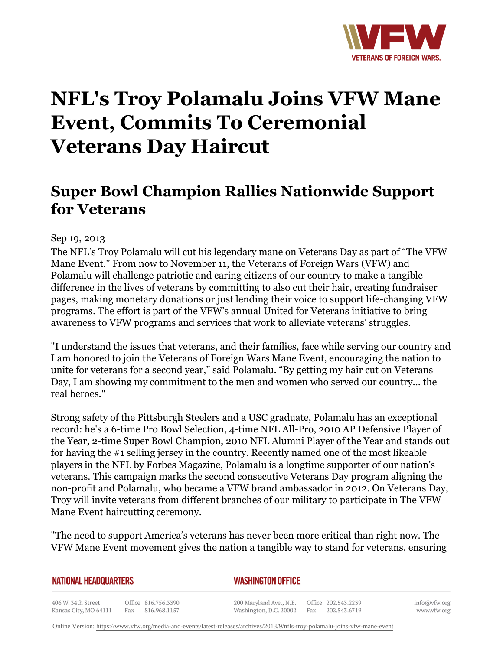

# **NFL's Troy Polamalu Joins VFW Mane Event, Commits To Ceremonial Veterans Day Haircut**

# **Super Bowl Champion Rallies Nationwide Support for Veterans**

## Sep 19, 2013

The NFL's Troy Polamalu will cut his legendary mane on Veterans Day as part of "The VFW Mane Event." From now to November 11, the Veterans of Foreign Wars (VFW) and Polamalu will challenge patriotic and caring citizens of our country to make a tangible difference in the lives of veterans by committing to also cut their hair, creating fundraiser pages, making monetary donations or just lending their voice to support life-changing VFW programs. The effort is part of the VFW's annual United for Veterans initiative to bring awareness to VFW programs and services that work to alleviate veterans' struggles.

"I understand the issues that veterans, and their families, face while serving our country and I am honored to join the Veterans of Foreign Wars Mane Event, encouraging the nation to unite for veterans for a second year," said Polamalu. "By getting my hair cut on Veterans Day, I am showing my commitment to the men and women who served our country… the real heroes."

Strong safety of the Pittsburgh Steelers and a USC graduate, Polamalu has an exceptional record: he's a 6-time Pro Bowl Selection, 4-time NFL All-Pro, 2010 AP Defensive Player of the Year, 2-time Super Bowl Champion, 2010 NFL Alumni Player of the Year and stands out for having the #1 selling jersey in the country. Recently named one of the most likeable players in the NFL by Forbes Magazine, Polamalu is a longtime supporter of our nation's veterans. This campaign marks the second consecutive Veterans Day program aligning the non-profit and Polamalu, who became a VFW brand ambassador in 2012. On Veterans Day, Troy will invite veterans from different branches of our military to participate in The VFW Mane Event haircutting ceremony.

"The need to support America's veterans has never been more critical than right now. The VFW Mane Event movement gives the nation a tangible way to stand for veterans, ensuring

#### **NATIONAL HEADQUARTERS**

### *WASHINGTON OFFICE*

406 W. 34th Street Office 816.756.3390 Kansas City, MO 64111 Fax 816.968.1157

200 Maryland Ave., N.E. Washington, D.C. 20002

Office 202.543.2239 Fax 202.543.6719

info@vfw.org www.vfw.org

Online Version:<https://www.vfw.org/media-and-events/latest-releases/archives/2013/9/nfls-troy-polamalu-joins-vfw-mane-event>